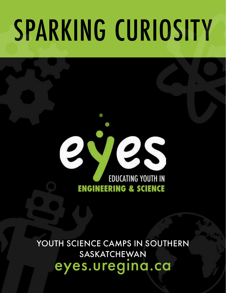# SPARKING CURIOSITY

### 2 ZS **EDUCATING YOUTH IN ENGINEERING & SCIENCE**

YOUTH SCIENCE CAMPS IN SOUTHERN SASKATCHEWAN eyes.uregina.ca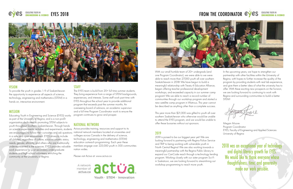



#### **VISION**

To provide the youth in grades 1-9 of Saskatchewan the opportunity to experience all aspects of science, technology, engineering and mathematics (STEM) in a hands on, interactive environment.

#### MISSION

Educating Youth in Engineering and Science (EYES) works as part of the University of Regina, and is a non-profit organization dedicated to promoting STEM subjects to youth throughout Southern Saskatchewan. Through hands on science experiments, activities and experiments, students are encouraged to follow their curiosities and ask questions in a safe and open environment. EYES strives to include all children, regardless of culture, socio-economic status, needs, gender, ethnicity, and others who are traditionally underrepresented in the sciences. EYES provides valuable work experience for post secondary undergraduate students and high-school volunteers, enriching the community at the University of Regina.

#### **STAFF**

With our small humble team of 20+ undergrads (and one Program Coordinator), we were able to we were able to reach more than 27,000 youth all over southern Saskatchewan in 2018! We have begun to build a meaningful relationship with Treaty 4 Education Alliance, began offering teacher professional development workshops, and exceeded capacity in our summer camp program! We we able to reach a record number of communities through our workshop program and started a new satellite camp program in Watrous. This year cannot be described as anything other than a complete success.

The EYES team is build from 20+ full time summer students. They bring experience from a range of STEM backgrounds, experiences, and interests. Some staff work part-time with EYES throughout the school year to provide additional program that exceeds past the summer months. An overseeing board of advisors, an academic supervisor and a full time Program Coordinator work to ensure the program continues to grow and prosper.

This year more than \$21,000 was gifted to youth all over southern Saskatchewan who otherwise would be unable to attend the EYES program, and we would be unable to offer these bursaries without out sponsors.

#### 2019

2019 is poised to be our biggest year yet! We are looking forward to partnering with Regina Police Service and TRiP to being working with vulnerable youth in North Central Regina! We are also working towards a meaningful partnership with the Regina Public Library to expand our CanCode reach through a technology lending program. Working closely with our sister program Sci-Fi in Saskatoon, we are looking forward to streamlining out workshop programming to reach more youth.

#### FROM THE COORDINATOR **eyes** EDUCATING YOUTH IN



#### NATIONAL NETWORK

Actua provides training, resources and support to its national network members located at universities and colleges across Canada in the delivery of science, technology, engineering and mathematics (STEM) education outreach programming. Each year these members engage over 225,000 youth in 500 communities nation wides.

Please visit Actua at: www.actua.ca

actua.ca

Anetwork activa

Youth · STEM · Innovation



2018 was an exceptional year of technology and digital literacy growth for EYES. We would like to thank everyone whose thoughtfulness, time, and generosity made our work possible.

In the upcoming years, we hope to strengthen our partnership with other facilities within the University of Regina, with hopes to further increase the quality of the program by providing students with real lab experience, and give them a better idea of what the university has to offer. With these exciting new prospects on the horizon, we are looking forward to continuing to work with Regina and surrounding communities to build a better STEM!

Megan Moore Program Coordinator EYES, Faculty of Engineering and Applied Sciences University of Regina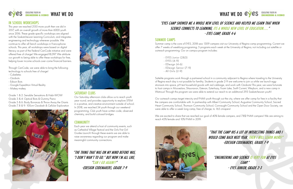

#### IN SCHOOL WORKSHOPS

This year we reached 2150 more youth then we did in 2017, with an overall growth of more than 6000 youth since 2016. These grade specific workshops are aligned with the Saskatchewan Learning Curriculum, and integrates engineering and technology wherever possible. We continue to offer all french workshops in Francophone schools. This year, all workshops were based on digital literacy as part of the Federal CanCode initiative and were offered free of charge! We engaged18,097. We attribute our growth to being able to offer these workshops for free, helping lower income schools over-come financial barriers.

Through CanCode, we were able to bring the following technology to schools free of charge!

- Cubeletes
- Ozobots
- Edison Bots
- Google Expedition Virtual Reality
- Makey-makey

Grade 1 & 2: Sensible Sensations & Habi-WOW Grade 3 & 4: Optical Bots & Gummy Piano Grade 5 & 6: Body Bonanza & Throw Away the Giants Grade 7, 8 & 9: 100cm Ozodash & Cellular Exploration





#### SUMMER CAMPS

Summer camp is the core of EYES, 2018 saw 1309 campers visit our University of Regina camp programming. Current we offer 7 weeks of weeklong programing; 5 programs each week at the University of Regina, not including out satellite or outreach programming. Our on campus program includes:

- EYES Junior (2&3)
- EYES (4-9)
- EDesign (4-6)
- EDesign Senior (7-9)
- All Girls (2-9)

Sattelite programs work through a partnered school in a community adjacent to Regina where traveling to the University of Regina each day is not possible for famility. Students in grade 2-9 are welcome to join us while we launch eggstronauts into space, pH test household goods with red cabbage, and work with Ozobots! This year, we were fortunate to host camps in MooseJaw, Shaunavon, Estevan, Ezterhazy, Foam Lake, Swift Current, Weyburn, and a new camp in Watrous! Through this program we were able to extend our reach to an additional 293 Saskatchewan youth!

Our outreach camps target intercity and FNMI youth through out the city, where we offer camp for free in a facility that the campers are comfortable with. In partnership with Albert Community School, Augustine Community School, Sacred Heart Community School, Thomson Community School, Connaught Community School and the Open Door Society, we were able to offer a week long camp, free of charge, to 165 cmapers!

We are excited to share that we reached our goal of 40% female campers, and 7.8\$ FNMI campers! We are aiming to reach 45% female and 10% FNMI in 2019.



#### WHAT WE DO CYCS EDUCATING YOUTH IN

#### SATURDAY CLUBS

Our Saturday afternoon clubs allow us to reach youth year round, and provides opportunity to explore STEM in a positive, and creative environment outside of school. In 2018, we reached 54 youth through our weekend programming, Club youth have written code, observed chemistry, and build colossal bridges.

#### **COMMUNITY**

Each year we attend a host of community events, such as Cathedral Village Festival and the Girls First Girl Guides Launch! through these events we are able to raise awareness regarding our program and make meaningful community connections.

"THE THING THAT WAS ON MY MIND BEFORE WAS, "I DON'T WAN'T TO GO." BUT NOW I'M ALL LIKE, "CAN I GO AGAIN!?" -EDESIGN CODEMAKERS, GRADE 7-9

#### "ENGINEERING AND SCIENCE IS VERY FUN AT EYES CAMP." - EYES JUNIOR, GRADE 2-3

#### "THAT THE CAMP HIS A LOT OF INTERESTING THINGS AND I WOULD COME BACK NEXT YEAR. THEN I WILL LEARN MORE!" -EDESIGN CODEMAKERS, GRADE 7-9

#### "EYES CAMP SHOWED ME A WHOLE NEW LEVEL OF SCIENCE AND HELPED ME LEARN THAT WHEN SCIENCE CONNECTS TO LEARNING, ITS A WHOLE NEW LEVEL OF EDUCATION......" - EYES CAMP, GRADE 4-6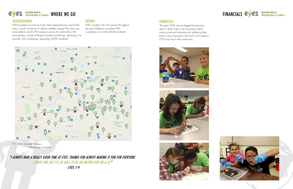

#### FINANCIALS

This year, EYES saw its biggest fundraising year to date. Even in an economy where many provincial industries are tightening their belts, it was inspiring to see how much support EYES truly has in the community.













#### SASKATCHEWAN

EYES traveled as north as Foam Lake Saskatchewan and all the way to south to Estevan to deliver satellite camps! This year, we were able to reach 293 campers across 8 communities. 64 communities outside of Regina booked workshops, allowing us to provide 1122 workshops, impacting 19,097 students!



RED STAR: Summer Camps GREEN DROP: Workshop Locations

#### REGINA

EYES worked with 33 schools throughout the city of Regina, provided 385 workshops to a total of 6160 students!

"I ALWAYS HAVE A REALLY GOOD TIME AT EYES. THANKS FOR ALWAYS MAKING IT FUN FOR EVERYONE. I HOPE ONE DAY I'LL BE ABLE TO BE AN INSTRUCTOR OR A JC!"

- EYES 7-9